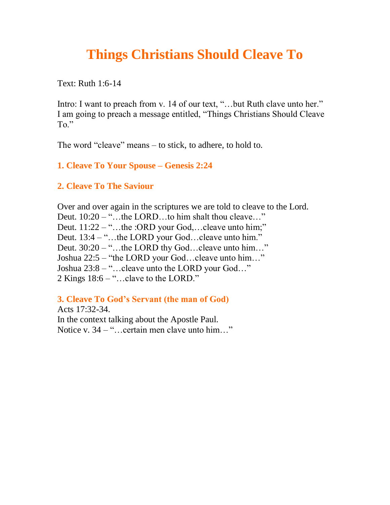## **Things Christians Should Cleave To**

Text: Ruth 1:6-14

Intro: I want to preach from v. 14 of our text, "...but Ruth clave unto her." I am going to preach a message entitled, "Things Christians Should Cleave To."

The word "cleave" means – to stick, to adhere, to hold to.

**1. Cleave To Your Spouse – Genesis 2:24**

**2. Cleave To The Saviour**

Over and over again in the scriptures we are told to cleave to the Lord. Deut. 10:20 – "…the LORD…to him shalt thou cleave…" Deut. 11:22 – "...the :ORD your God,...cleave unto him;" Deut. 13:4 – "...the LORD your God...cleave unto him." Deut. 30:20 – "…the LORD thy God…cleave unto him…" Joshua 22:5 – "the LORD your God…cleave unto him…" Joshua 23:8 – "…cleave unto the LORD your God…" 2 Kings 18:6 – "…clave to the LORD."

**3. Cleave To God's Servant (the man of God)**

Acts 17:32-34. In the context talking about the Apostle Paul. Notice v. 34 – "…certain men clave unto him…"